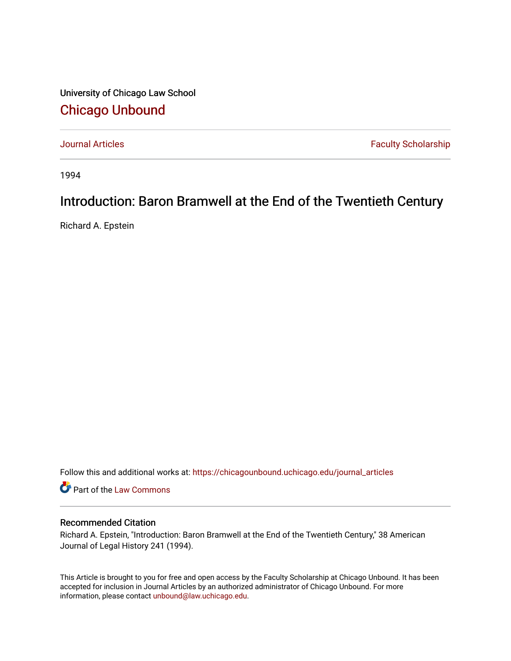University of Chicago Law School [Chicago Unbound](https://chicagounbound.uchicago.edu/)

[Journal Articles](https://chicagounbound.uchicago.edu/journal_articles) **Faculty Scholarship Faculty Scholarship** 

1994

## Introduction: Baron Bramwell at the End of the Twentieth Century

Richard A. Epstein

Follow this and additional works at: [https://chicagounbound.uchicago.edu/journal\\_articles](https://chicagounbound.uchicago.edu/journal_articles?utm_source=chicagounbound.uchicago.edu%2Fjournal_articles%2F3591&utm_medium=PDF&utm_campaign=PDFCoverPages) 

Part of the [Law Commons](http://network.bepress.com/hgg/discipline/578?utm_source=chicagounbound.uchicago.edu%2Fjournal_articles%2F3591&utm_medium=PDF&utm_campaign=PDFCoverPages)

### Recommended Citation

Richard A. Epstein, "Introduction: Baron Bramwell at the End of the Twentieth Century," 38 American Journal of Legal History 241 (1994).

This Article is brought to you for free and open access by the Faculty Scholarship at Chicago Unbound. It has been accepted for inclusion in Journal Articles by an authorized administrator of Chicago Unbound. For more information, please contact [unbound@law.uchicago.edu](mailto:unbound@law.uchicago.edu).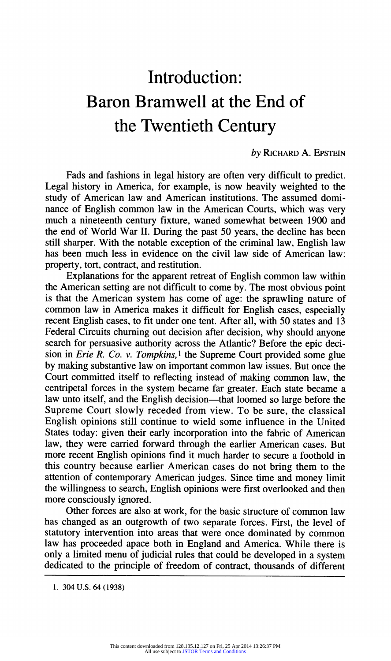# **Introduction: Baron Bramwell at the End of the Twentieth Century**

### **by RICHARD A. EPSTEIN**

**Fads and fashions in legal history are often very difficult to predict. Legal history in America, for example, is now heavily weighted to the study of American law and American institutions. The assumed dominance of English common law in the American Courts, which was very much a nineteenth century fixture, waned somewhat between 1900 and the end of World War II. During the past 50 years, the decline has been still sharper. With the notable exception of the criminal law, English law has been much less in evidence on the civil law side of American law: property, tort, contract, and restitution.** 

**Explanations for the apparent retreat of English common law within the American setting are not difficult to come by. The most obvious point is that the American system has come of age: the sprawling nature of common law in America makes it difficult for English cases, especially recent English cases, to fit under one tent. After all, with 50 states and 13 Federal Circuits churning out decision after decision, why should anyone search for persuasive authority across the Atlantic? Before the epic decision in Erie R. Co. v. Tompkins,1 the Supreme Court provided some glue by making substantive law on important common law issues. But once the Court committed itself to reflecting instead of making common law, the centripetal forces in the system became far greater. Each state became a**  law unto itself, and the English decision—that loomed so large before the **Supreme Court slowly receded from view. To be sure, the classical English opinions still continue to wield some influence in the United States today: given their early incorporation into the fabric of American law, they were carried forward through the earlier American cases. But more recent English opinions find it much harder to secure a foothold in this country because earlier American cases do not bring them to the attention of contemporary American judges. Since time and money limit the willingness to search, English opinions were first overlooked and then more consciously ignored.** 

**Other forces are also at work, for the basic structure of common law has changed as an outgrowth of two separate forces. First, the level of statutory intervention into areas that were once dominated by common law has proceeded apace both in England and America. While there is only a limited menu of judicial rules that could be developed in a system dedicated to the principle of freedom of contract, thousands of different** 

**<sup>1. 304</sup> U.S. 64 (1938)**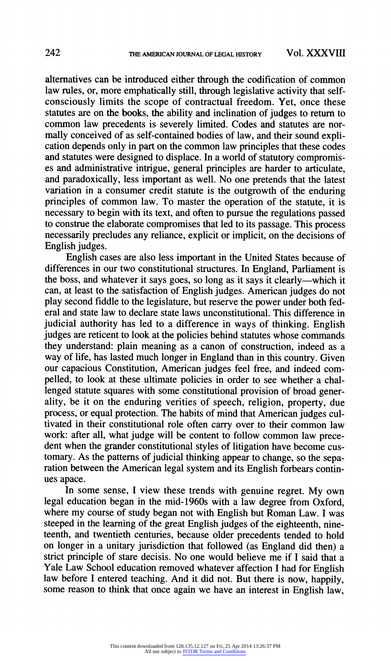**alternatives can be introduced either through the codification of common law rules, or, more emphatically still, through legislative activity that selfconsciously limits the scope of contractual freedom. Yet, once these statutes are on the books, the ability and inclination of judges to return to common law precedents is severely limited. Codes and statutes are normally conceived of as self-contained bodies of law, and their sound explication depends only in part on the common law principles that these codes and statutes were designed to displace. In a world of statutory compromises and administrative intrigue, general principles are harder to articulate, and paradoxically, less important as well. No one pretends that the latest variation in a consumer credit statute is the outgrowth of the enduring principles of common law. To master the operation of the statute, it is necessary to begin with its text, and often to pursue the regulations passed to construe the elaborate compromises that led to its passage. This process necessarily precludes any reliance, explicit or implicit, on the decisions of English judges.** 

**English cases are also less important in the United States because of differences in our two constitutional structures. In England, Parliament is the boss, and whatever it says goes, so long as it says it clearly-which it can, at least to the satisfaction of English judges. American judges do not play second fiddle to the legislature, but reserve the power under both federal and state law to declare state laws unconstitutional. This difference in judicial authority has led to a difference in ways of thinking. English judges are reticent to look at the policies behind statutes whose commands they understand: plain meaning as a canon of construction, indeed as a way of life, has lasted much longer in England than in this country. Given our capacious Constitution, American judges feel free, and indeed compelled, to look at these ultimate policies in order to see whether a challenged statute squares with some constitutional provision of broad generality, be it on the enduring verities of speech, religion, property, due process, or equal protection. The habits of mind that American judges cultivated in their constitutional role often carry over to their common law work: after all, what judge will be content to follow common law precedent when the grander constitutional styles of litigation have become customary. As the patterns of judicial thinking appear to change, so the separation between the American legal system and its English forbears continues apace.** 

**In some sense, I view these trends with genuine regret. My own legal education began in the mid-1960s with a law degree from Oxford, where my course of study began not with English but Roman Law. I was steeped in the learning of the great English judges of the eighteenth, nineteenth, and twentieth centuries, because older precedents tended to hold on longer in a unitary jurisdiction that followed (as England did then) a strict principle of stare decisis. No one would believe me if I said that a Yale Law School education removed whatever affection I had for English law before I entered teaching. And it did not. But there is now, happily, some reason to think that once again we have an interest in English law,**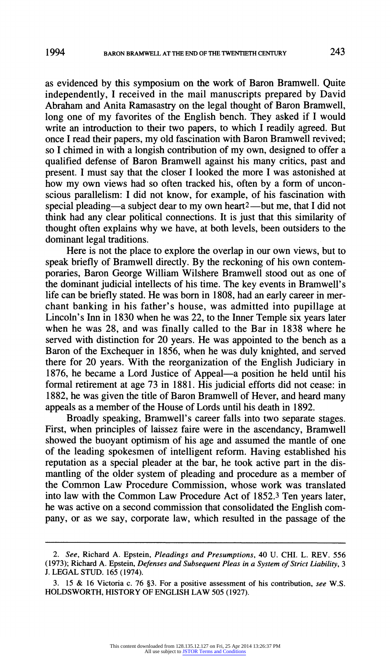**as evidenced by this symposium on the work of Baron Bramwell. Quite independently, I received in the mail manuscripts prepared by David Abraham and Anita Ramasastry on the legal thought of Baron Bramwell, long one of my favorites of the English bench. They asked if I would write an introduction to their two papers, to which I readily agreed. But once I read their papers, my old fascination with Baron Bramwell revived; so I chimed in with a longish contribution of my own, designed to offer a qualified defense of Baron Bramwell against his many critics, past and present. I must say that the closer I looked the more I was astonished at how my own views had so often tracked his, often by a form of unconscious parallelism: I did not know, for example, of his fascination with**  special pleading—a subject dear to my own heart<sup>2</sup>—but me, that I did not **think had any clear political connections. It is just that this similarity of thought often explains why we have, at both levels, been outsiders to the dominant legal traditions.** 

**Here is not the place to explore the overlap in our own views, but to speak briefly of Bramwell directly. By the reckoning of his own contemporaries, Baron George William Wilshere Bramwell stood out as one of the dominant judicial intellects of his time. The key events in Bramwell's life can be briefly stated. He was born in 1808, had an early career in merchant banking in his father's house, was admitted into pupillage at Lincoln's Inn in 1830 when he was 22, to the Inner Temple six years later when he was 28, and was finally called to the Bar in 1838 where he served with distinction for 20 years. He was appointed to the bench as a Baron of the Exchequer in 1856, when he was duly knighted, and served there for 20 years. With the reorganization of the English Judiciary in 1876, he became a Lord Justice of Appeal-a position he held until his formal retirement at age 73 in 1881. His judicial efforts did not cease: in 1882, he was given the title of Baron Bramwell of Hever, and heard many appeals as a member of the House of Lords until his death in 1892.** 

**Broadly speaking, Bramwell's career falls into two separate stages. First, when principles of laissez faire were in the ascendancy, Bramwell showed the buoyant optimism of his age and assumed the mantle of one of the leading spokesmen of intelligent reform. Having established his reputation as a special pleader at the bar, he took active part in the dismantling of the older system of pleading and procedure as a member of the Common Law Procedure Commission, whose work was translated into law with the Common Law Procedure Act of 1852.3 Ten years later, he was active on a second commission that consolidated the English company, or as we say, corporate law, which resulted in the passage of the** 

**<sup>2.</sup> See, Richard A. Epstein, Pleadings and Presumptions, 40 U. CHI. L. REV. 556 (1973); Richard A. Epstein, Defenses and Subsequent Pleas in a System of Strict Liability, 3 J. LEGAL STUD. 165 (1974).** 

**<sup>3.</sup>** 15 & 16 Victoria c. 76 §3. For a positive assessment of his contribution, see W.S. **HOLDSWORTH, HISTORY OF ENGLISH LAW 505 (1927).**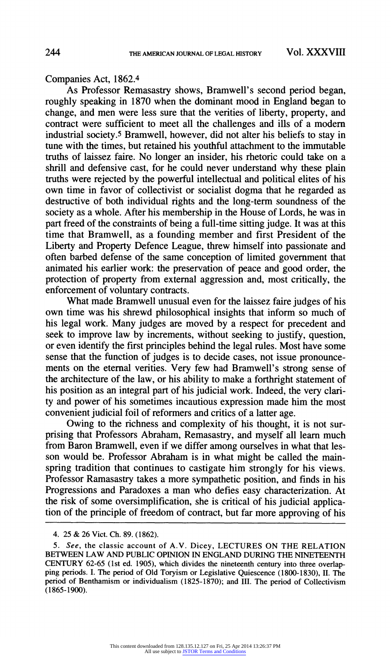#### **Companies Act, 1862.4**

**As Professor Remasastry shows, Bramwell's second period began, roughly speaking in 1870 when the dominant mood in England began to change, and men were less sure that the verities of liberty, property, and contract were sufficient to meet all the challenges and ills of a modem industrial society.5 Bramwell, however, did not alter his beliefs to stay in tune with the times, but retained his youthful attachment to the immutable truths of laissez faire. No longer an insider, his rhetoric could take on a shrill and defensive cast, for he could never understand why these plain truths were rejected by the powerful intellectual and political elites of his own time in favor of collectivist or socialist dogma that he regarded as destructive of both individual rights and the long-term soundness of the society as a whole. After his membership in the House of Lords, he was in part freed of the constraints of being a full-time sitting judge. It was at this time that Bramwell, as a founding member and first President of the Liberty and Property Defence League, threw himself into passionate and often barbed defense of the same conception of limited government that animated his earlier work: the preservation of peace and good order, the protection of property from external aggression and, most critically, the enforcement of voluntary contracts.** 

**What made Bramwell unusual even for the laissez faire judges of his own time was his shrewd philosophical insights that inform so much of his legal work. Many judges are moved by a respect for precedent and seek to improve law by increments, without seeking to justify, question, or even identify the first principles behind the legal rules. Most have some sense that the function of judges is to decide cases, not issue pronouncements on the eternal verities. Very few had Bramwell's strong sense of the architecture of the law, or his ability to make a forthright statement of his position as an integral part of his judicial work. Indeed, the very clarity and power of his sometimes incautious expression made him the most convenient judicial foil of reformers and critics of a latter age.** 

**Owing to the richness and complexity of his thought, it is not surprising that Professors Abraham, Remasastry, and myself all learn much from Baron Bramwell, even if we differ among ourselves in what that lesson would be. Professor Abraham is in what might be called the mainspring tradition that continues to castigate him strongly for his views. Professor Ramasastry takes a more sympathetic position, and finds in his Progressions and Paradoxes a man who defies easy characterization. At the risk of some oversimplification, she is critical of his judicial application of the principle of freedom of contract, but far more approving of his** 

**<sup>4. 25 &</sup>amp; 26 Vict. Ch. 89. (1862).** 

**<sup>5.</sup> See, the classic account of A.V. Dicey, LECTURES ON THE RELATION BETWEEN LAW AND PUBLIC OPINION IN ENGLAND DURING THE NINETEENTH CENTURY 62-65 (1st ed. 1905), which divides the nineteenth century into three overlapping periods. I. The period of Old Toryism or Legislative Quiescence (1800-1830), II. The period of Benthamism or individualism (1825-1870); and III. The period of Collectivism (1865-1900).**